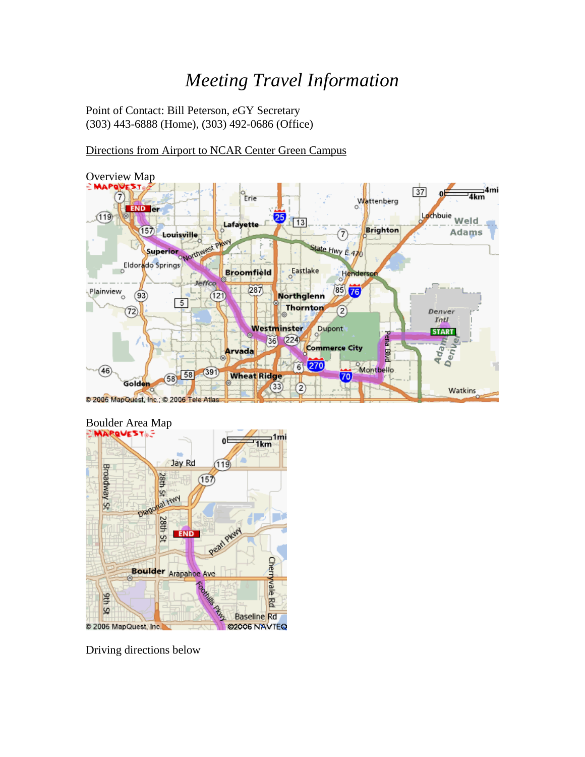# *Meeting Travel Information*

Point of Contact: Bill Peterson, *e*GY Secretary (303) 443-6888 (Home), (303) 492-0686 (Office)

# Directions from Airport to NCAR Center Green Campus





Driving directions below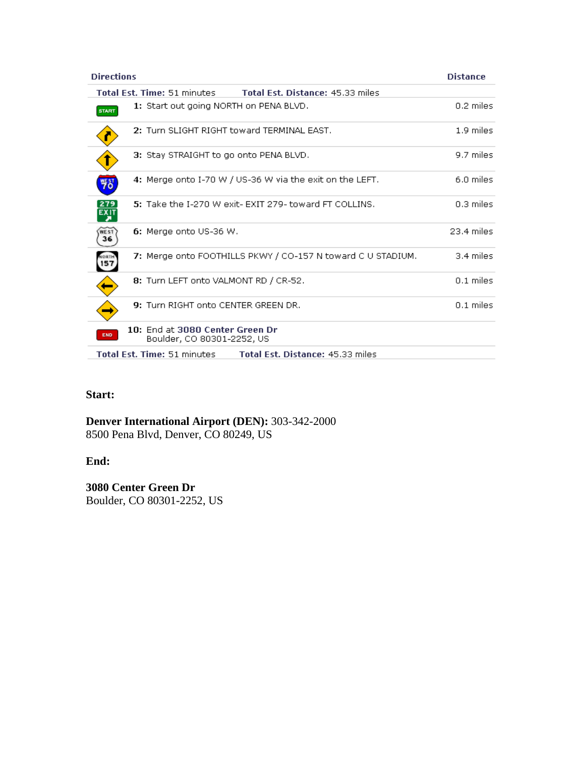| <b>Directions</b>                                                           | <b>Distance</b> |
|-----------------------------------------------------------------------------|-----------------|
| Total Est. Time: 51 minutes<br>Total Est. Distance: 45.33 miles             |                 |
| 1: Start out going NORTH on PENA BLVD.<br><b>START</b>                      | 0.2 miles       |
| 2: Turn SLIGHT RIGHT toward TERMINAL EAST.                                  | 1.9 miles       |
| 3: Stay STRAIGHT to go onto PENA BLVD.                                      | 9.7 miles       |
| 4: Merge onto I-70 W / US-36 W via the exit on the LEFT.<br>뼓               | 6.0 miles       |
| 5: Take the I-270 W exit- EXIT 279- toward FT COLLINS.                      | $0.3$ miles     |
| 6: Merge onto US-36 W.<br><b>WEST</b><br>36                                 | 23.4 miles      |
| 7: Merge onto FOOTHILLS PKWY / CO-157 N toward C U STADIUM.                 | 3.4 miles       |
| 8: Turn LEFT onto VALMONT RD / CR-52.                                       | $0.1$ miles     |
| 9: Turn RIGHT onto CENTER GREEN DR.                                         | $0.1$ miles     |
| 10: End at 3080 Center Green Dr<br><b>END</b><br>Boulder, CO 80301-2252, US |                 |
| Total Est. Time: 51 minutes<br>Total Est. Distance: 45.33 miles             |                 |

## **Start:**

**Denver International Airport (DEN):** 303-342-2000 8500 Pena Blvd, Denver, CO 80249, US

#### **End:**

**3080 Center Green Dr** Boulder, CO 80301-2252, US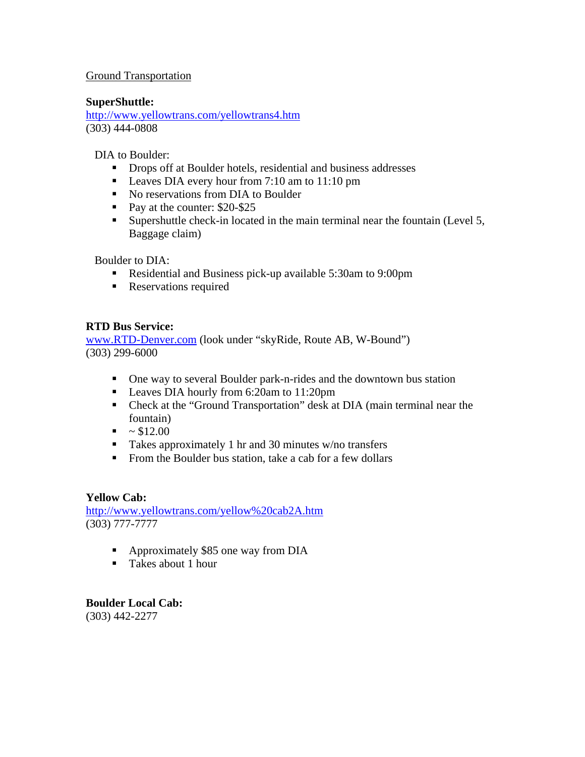## Ground Transportation

#### **SuperShuttle:**

[http://www.yellowtrans.com/yellowtrans4.htm](http://www.yellowtrans.com/shuttle.html) (303) 444-0808

DIA to Boulder:

- **Drops off at Boulder hotels, residential and business addresses**
- Leaves DIA every hour from 7:10 am to 11:10 pm
- No reservations from DIA to Boulder
- Pay at the counter: \$20-\$25
- Supershuttle check-in located in the main terminal near the fountain (Level 5, Baggage claim)

Boulder to DIA:

- Residential and Business pick-up available 5:30am to 9:00pm
- **Reservations required**

## **RTD Bus Service:**

[www.RTD-Denver.com](http://www.rtd-denver.com/) (look under "skyRide, Route AB, W-Bound") (303) 299-6000

- One way to several Boulder park-n-rides and the downtown bus station
- Leaves DIA hourly from 6:20am to 11:20pm
- Check at the "Ground Transportation" desk at DIA (main terminal near the fountain)
- $\blacksquare$  ~ \$12.00
- Takes approximately 1 hr and 30 minutes w/no transfers
- From the Boulder bus station, take a cab for a few dollars

#### **Yellow Cab:**

[http://www.yellowtrans.com/yellow%20cab2A.htm](http://www.yellowtrans.com/) (303) 777-7777

- Approximately \$85 one way from DIA
- **Takes about 1 hour**

**Boulder Local Cab:**  (303) 442-2277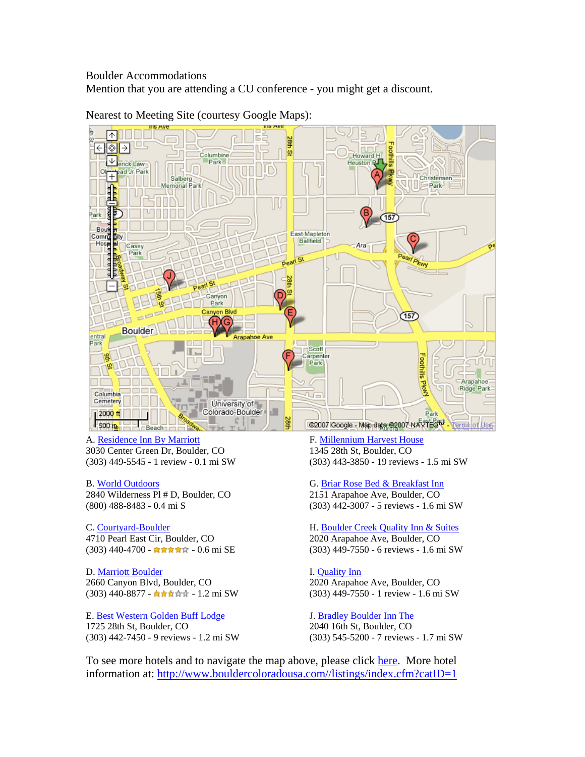#### Boulder Accommodations

Mention that you are attending a CU conference - you might get a discount.



#### Nearest to Meeting Site (courtesy Google Maps):

A. [Residence Inn By Marriott](http://marriott.com/property/propertypage/VBOCG) 3030 Center Green Dr, Boulder, CO (303) 449-5545 - 1 review - 0.1 mi SW

#### B. [World Outdoors](http://www.theworldoutdoors.com/)

2840 Wilderness Pl # D, Boulder, CO (800) 488-8483 - 0.4 mi S

#### C. [Courtyard-Boulder](http://marriott.com/property/propertypage/DENBD)

4710 Pearl East Cir, Boulder, CO (303) 440-4700 - 台湾音音 - 0.6 mi SE

D. [Marriott Boulder](http://marriott.com/property/propertypage/DENBO) 2660 Canyon Blvd, Boulder, CO (303) 440-8877 - <del>4 A A 前</del> 前 - 1.2 mi SW

E. [Best Western Golden Buff Lodge](http://book.bestwestern.com/bestwestern/productInfo.do?iata=&promoCode=&corpID=&propertyCode=06004#null) 1725 28th St, Boulder, CO (303) 442-7450 - 9 reviews - 1.2 mi SW F. [Millennium Harvest House](http://www.millenniumhotels.com/boulder) 1345 28th St, Boulder, CO (303) 443-3850 - 19 reviews - 1.5 mi SW

G. [Briar Rose Bed & Breakfast Inn](http://www.briarrosebb.com/) 2151 Arapahoe Ave, Boulder, CO

(303) 442-3007 - 5 reviews - 1.6 mi SW

H. [Boulder Creek Quality Inn & Suites](http://www.qualityinnboulder.com/) 2020 Arapahoe Ave, Boulder, CO (303) 449-7550 - 6 reviews - 1.6 mi SW

I. [Quality Inn](http://www.qualityinnboulder.com/) 2020 Arapahoe Ave, Boulder, CO (303) 449-7550 - 1 review - 1.6 mi SW

J. [Bradley Boulder Inn The](http://www.thebradleyboulder.com/) 2040 16th St, Boulder, CO (303) 545-5200 - 7 reviews - 1.7 mi SW

To see more hotels and to navigate the map above, please click [here](http://www.google.com/maps?f=l&hl=en&q=hotel&near=3080+Center+Green+Dr,+Boulder,+CO+80301+(NCAR+Center)&ie=UTF8&om=1&z=14&ll=40.021305,-105.255547&spn=0.030893,0.080338). More hotel information at: [http://www.bouldercoloradousa.com//listings/index.cfm?catID=1](http://www.bouldercoloradousa.com/listings/index.cfm?catID=1)